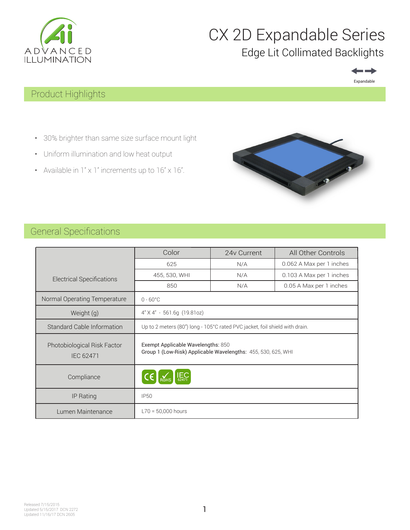

## CX 2D Expandable Series Edge Lit Collimated Backlights



## Product Highlights

- 30% brighter than same size surface mount light
- Uniform illumination and low heat output
- Available in  $1'' \times 1''$  increments up to  $16'' \times 16''$ .



## General Specifications

|                                                 | Color                                                                                               | 24y Current | All Other Controls       |  |
|-------------------------------------------------|-----------------------------------------------------------------------------------------------------|-------------|--------------------------|--|
|                                                 | 625                                                                                                 | N/A         | 0.062 A Max per 1 inches |  |
| <b>Electrical Specifications</b>                | 455, 530, WHI<br>N/A                                                                                |             | 0.103 A Max per 1 inches |  |
|                                                 | 850                                                                                                 | N/A         | 0.05 A Max per 1 inches  |  |
| Normal Operating Temperature                    | $0 - 60^{\circ}$ C                                                                                  |             |                          |  |
| Weight (g)                                      | $4"$ X $4"$ - 561.6q (19.81oz)                                                                      |             |                          |  |
| Standard Cable Information                      | Up to 2 meters (80") long - 105°C rated PVC jacket, foil shield with drain.                         |             |                          |  |
| Photobiological Risk Factor<br><b>IEC 62471</b> | Exempt Applicable Wavelengths: 850<br>Group 1 (Low-Risk) Applicable Wavelengths: 455, 530, 625, WHI |             |                          |  |
| Compliance                                      | $\overline{4.6247}$                                                                                 |             |                          |  |
| IP Rating                                       | <b>IP50</b>                                                                                         |             |                          |  |
| Lumen Maintenance                               | $L70 = 50,000$ hours                                                                                |             |                          |  |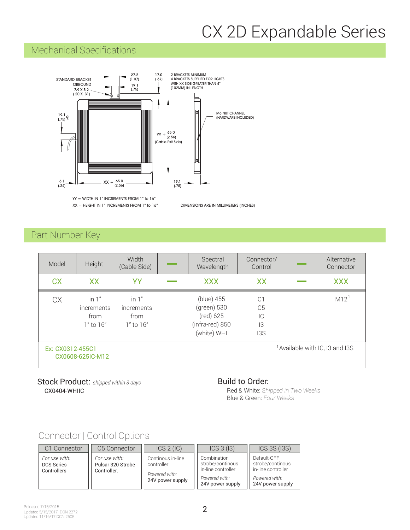## CX 2D Expandable Series

## Mechanical Specifications



YY = WIDTH IN 1" INCREMENTS FROM 1" to 16"  $XX = HEIGHT IN 1" INCREMENTS FROM 1" to 16"$  DIMENSIONS ARE IN MILLIMETERS (INCHES)

### Part Number Key

| Model            | Height                                         | Width<br>(Cable Side)                          | Spectral<br>Wavelength                                                   | Connector/<br>Control                               | Alternative<br>Connector                   |
|------------------|------------------------------------------------|------------------------------------------------|--------------------------------------------------------------------------|-----------------------------------------------------|--------------------------------------------|
| <b>CX</b>        | XX                                             | YY                                             | <b>XXX</b>                                                               | <b>XX</b>                                           | <b>XXX</b>                                 |
| <b>CX</b>        | in $1"$<br>increments<br>from<br>$1"$ to $16"$ | in $1"$<br>increments<br>from<br>$1"$ to $16"$ | (blue) 455<br>(green) 530<br>(red) 625<br>(infra-red) 850<br>(white) WHI | C <sup>1</sup><br>C <sub>5</sub><br>ТC<br>13<br>13S | $M12$ <sup>1</sup>                         |
| Ex: CX0312-455C1 | CX0608-625IC-M12                               |                                                |                                                                          |                                                     | <sup>1</sup> Available with IC, I3 and I3S |

#### CX0404-WHIIC Stock Product: *shipped within 3 days*

#### Build to Order:

Red & White: *Shipped in Two Weeks* Blue & Green: *Four Weeks*

## Connector | Control Options

| C1 Connector                                      | C5 Connector                                      | ICS 2 (IC)                                                           | ICS 3 (13)                                                                                 | <b>ICS 3S (I3S)</b>                                                                        |
|---------------------------------------------------|---------------------------------------------------|----------------------------------------------------------------------|--------------------------------------------------------------------------------------------|--------------------------------------------------------------------------------------------|
| For use with:<br><b>DCS Series</b><br>Controllers | For use with:<br>Pulsar 320 Strobe<br>Controller. | Continous in-line<br>controller<br>Powered with:<br>24V power supply | Combination<br>strobe/continous<br>in-line controller<br>Powered with:<br>24V power supply | Default-OFF<br>strobe/continous<br>in-line controller<br>Powered with:<br>24V power supply |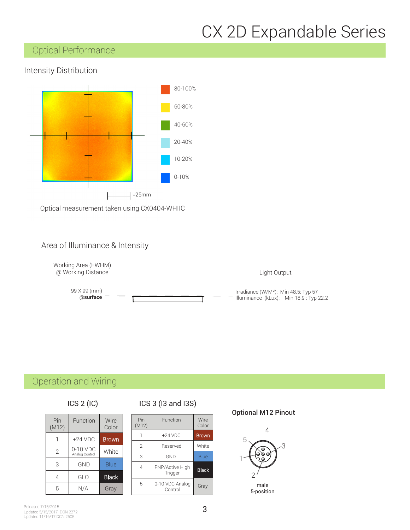# CX 2D Expandable Series

## Optical Performance

#### Intensity Distribution



Optical measurement taken using CX0404-WHIIC

#### Area of Illuminance & Intensity



## Operation and Wiring

| ICS 2 (IC) |
|------------|
|            |

| Pin<br>(M12)   | Function                     | Wire<br>Color |
|----------------|------------------------------|---------------|
|                | $+24$ VDC                    | <b>Brown</b>  |
| $\overline{2}$ | $0-10$ VDC<br>Analog Control | White         |
| 3              | <b>GND</b>                   | <b>Blue</b>   |
| 4              | GLO                          | <b>Black</b>  |
| 5              | N/A                          | Gray          |

#### ICS 2 (IC) ICS 3 (I3 and I3S)  $\sum_{i=1}^{N}$

| Pin<br>(M12) | Function                   | Wire<br>Color |
|--------------|----------------------------|---------------|
|              | $+24$ VDC                  | <b>Brown</b>  |
| 2            | Reserved                   | White         |
| 3            | GND                        | Blue          |
| 4            | PNP/Active High<br>Trigger | <b>Black</b>  |
| 5            | 0-10 VDC Analog<br>Control | Gray          |

#### Optional M12 Pinout